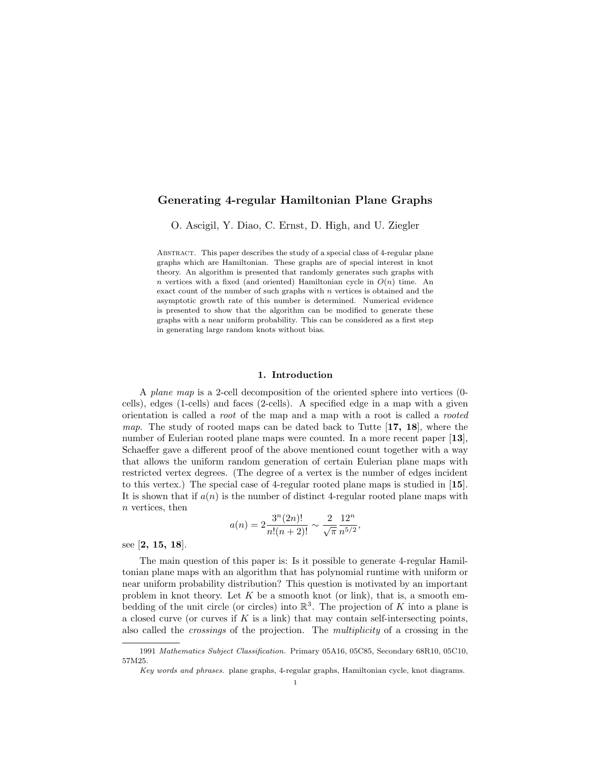## Generating 4-regular Hamiltonian Plane Graphs

O. Ascigil, Y. Diao, C. Ernst, D. High, and U. Ziegler

Abstract. This paper describes the study of a special class of 4-regular plane graphs which are Hamiltonian. These graphs are of special interest in knot theory. An algorithm is presented that randomly generates such graphs with n vertices with a fixed (and oriented) Hamiltonian cycle in  $O(n)$  time. An exact count of the number of such graphs with  $n$  vertices is obtained and the asymptotic growth rate of this number is determined. Numerical evidence is presented to show that the algorithm can be modified to generate these graphs with a near uniform probability. This can be considered as a first step in generating large random knots without bias.

## 1. Introduction

A plane map is a 2-cell decomposition of the oriented sphere into vertices (0 cells), edges (1-cells) and faces (2-cells). A specified edge in a map with a given orientation is called a root of the map and a map with a root is called a rooted *map.* The study of rooted maps can be dated back to Tutte  $[17, 18]$ , where the number of Eulerian rooted plane maps were counted. In a more recent paper [13], Schaeffer gave a different proof of the above mentioned count together with a way that allows the uniform random generation of certain Eulerian plane maps with restricted vertex degrees. (The degree of a vertex is the number of edges incident to this vertex.) The special case of 4-regular rooted plane maps is studied in [15]. It is shown that if  $a(n)$  is the number of distinct 4-regular rooted plane maps with n vertices, then

$$
a(n) = 2\frac{3^{n}(2n)!}{n!(n+2)!} \sim \frac{2}{\sqrt{\pi}} \frac{12^{n}}{n^{5/2}},
$$

see [2, 15, 18].

The main question of this paper is: Is it possible to generate 4-regular Hamiltonian plane maps with an algorithm that has polynomial runtime with uniform or near uniform probability distribution? This question is motivated by an important problem in knot theory. Let  $K$  be a smooth knot (or link), that is, a smooth embedding of the unit circle (or circles) into  $\mathbb{R}^3$ . The projection of K into a plane is a closed curve (or curves if  $K$  is a link) that may contain self-intersecting points, also called the crossings of the projection. The multiplicity of a crossing in the

<sup>1991</sup> Mathematics Subject Classification. Primary 05A16, 05C85, Secondary 68R10, 05C10, 57M25.

Key words and phrases. plane graphs, 4-regular graphs, Hamiltonian cycle, knot diagrams.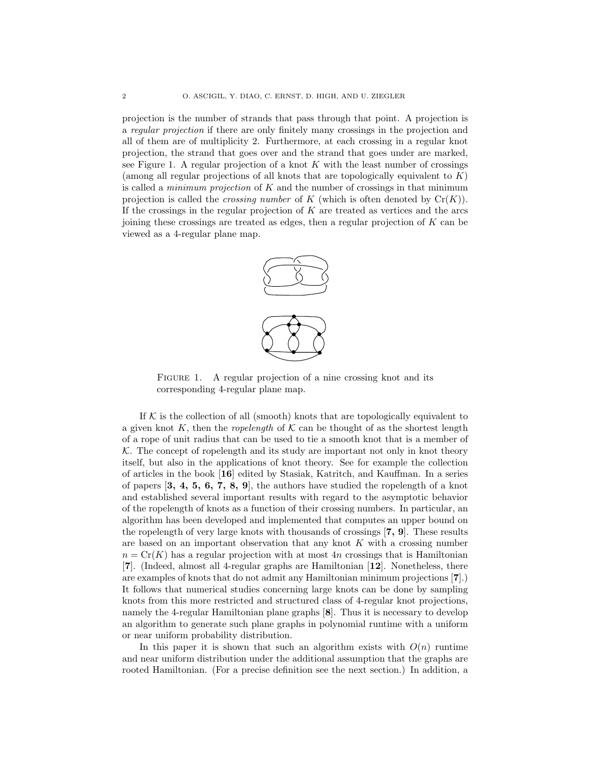projection is the number of strands that pass through that point. A projection is a regular projection if there are only finitely many crossings in the projection and all of them are of multiplicity 2. Furthermore, at each crossing in a regular knot projection, the strand that goes over and the strand that goes under are marked, see Figure 1. A regular projection of a knot  $K$  with the least number of crossings (among all regular projections of all knots that are topologically equivalent to  $K$ ) is called a *minimum projection* of  $K$  and the number of crossings in that minimum projection is called the *crossing number* of K (which is often denoted by  $Cr(K)$ ). If the crossings in the regular projection of  $K$  are treated as vertices and the arcs joining these crossings are treated as edges, then a regular projection of  $K$  can be viewed as a 4-regular plane map.



FIGURE 1. A regular projection of a nine crossing knot and its corresponding 4-regular plane map.

If  $K$  is the collection of all (smooth) knots that are topologically equivalent to a given knot K, then the *ropelength* of K can be thought of as the shortest length of a rope of unit radius that can be used to tie a smooth knot that is a member of  $K$ . The concept of ropelength and its study are important not only in knot theory itself, but also in the applications of knot theory. See for example the collection of articles in the book [16] edited by Stasiak, Katritch, and Kauffman. In a series of papers  $\left[3, 4, 5, 6, 7, 8, 9\right]$ , the authors have studied the ropelength of a knot and established several important results with regard to the asymptotic behavior of the ropelength of knots as a function of their crossing numbers. In particular, an algorithm has been developed and implemented that computes an upper bound on the ropelength of very large knots with thousands of crossings [7, 9]. These results are based on an important observation that any knot  $K$  with a crossing number  $n = Cr(K)$  has a regular projection with at most 4n crossings that is Hamiltonian [7]. (Indeed, almost all 4-regular graphs are Hamiltonian [12]. Nonetheless, there are examples of knots that do not admit any Hamiltonian minimum projections [7].) It follows that numerical studies concerning large knots can be done by sampling knots from this more restricted and structured class of 4-regular knot projections, namely the 4-regular Hamiltonian plane graphs [8]. Thus it is necessary to develop an algorithm to generate such plane graphs in polynomial runtime with a uniform or near uniform probability distribution.

In this paper it is shown that such an algorithm exists with  $O(n)$  runtime and near uniform distribution under the additional assumption that the graphs are rooted Hamiltonian. (For a precise definition see the next section.) In addition, a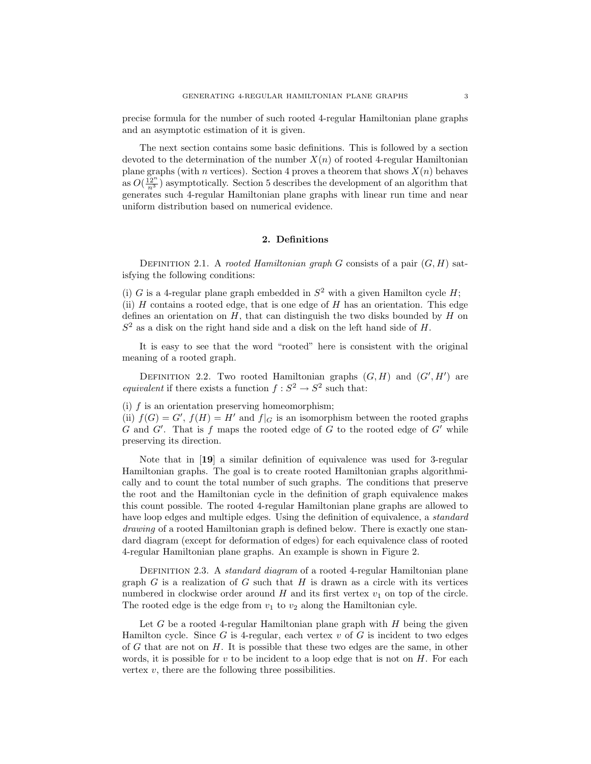precise formula for the number of such rooted 4-regular Hamiltonian plane graphs and an asymptotic estimation of it is given.

The next section contains some basic definitions. This is followed by a section devoted to the determination of the number  $X(n)$  of rooted 4-regular Hamiltonian plane graphs (with n vertices). Section 4 proves a theorem that shows  $X(n)$  behaves as  $O(\frac{12^n}{n^3})$  asymptotically. Section 5 describes the development of an algorithm that generates such 4-regular Hamiltonian plane graphs with linear run time and near uniform distribution based on numerical evidence.

## 2. Definitions

DEFINITION 2.1. A rooted Hamiltonian graph G consists of a pair  $(G, H)$  satisfying the following conditions:

(i) G is a 4-regular plane graph embedded in  $S^2$  with a given Hamilton cycle H; (ii)  $H$  contains a rooted edge, that is one edge of  $H$  has an orientation. This edge defines an orientation on  $H$ , that can distinguish the two disks bounded by  $H$  on  $S<sup>2</sup>$  as a disk on the right hand side and a disk on the left hand side of H.

It is easy to see that the word "rooted" here is consistent with the original meaning of a rooted graph.

DEFINITION 2.2. Two rooted Hamiltonian graphs  $(G, H)$  and  $(G', H')$  are equivalent if there exists a function  $f : S^2 \to S^2$  such that:

(i)  $f$  is an orientation preserving homeomorphism;

(ii)  $f(G) = G'$ ,  $f(H) = H'$  and  $f|_G$  is an isomorphism between the rooted graphs  $G$  and  $G'$ . That is f maps the rooted edge of  $G$  to the rooted edge of  $G'$  while preserving its direction.

Note that in [19] a similar definition of equivalence was used for 3-regular Hamiltonian graphs. The goal is to create rooted Hamiltonian graphs algorithmically and to count the total number of such graphs. The conditions that preserve the root and the Hamiltonian cycle in the definition of graph equivalence makes this count possible. The rooted 4-regular Hamiltonian plane graphs are allowed to have loop edges and multiple edges. Using the definition of equivalence, a *standard* drawing of a rooted Hamiltonian graph is defined below. There is exactly one standard diagram (except for deformation of edges) for each equivalence class of rooted 4-regular Hamiltonian plane graphs. An example is shown in Figure 2.

DEFINITION 2.3. A *standard diagram* of a rooted 4-regular Hamiltonian plane graph  $G$  is a realization of  $G$  such that  $H$  is drawn as a circle with its vertices numbered in clockwise order around  $H$  and its first vertex  $v_1$  on top of the circle. The rooted edge is the edge from  $v_1$  to  $v_2$  along the Hamiltonian cyle.

Let  $G$  be a rooted 4-regular Hamiltonian plane graph with  $H$  being the given Hamilton cycle. Since G is 4-regular, each vertex  $v$  of G is incident to two edges of  $G$  that are not on  $H$ . It is possible that these two edges are the same, in other words, it is possible for  $v$  to be incident to a loop edge that is not on  $H$ . For each vertex  $v$ , there are the following three possibilities.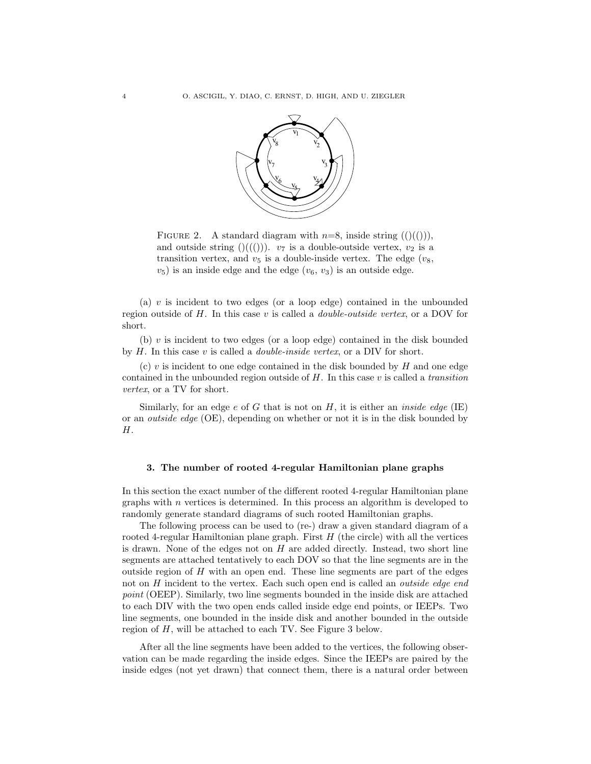

FIGURE 2. A standard diagram with  $n=8$ , inside string  $(()(())$ , and outside string  $((\mathcal{O}))$ .  $v_7$  is a double-outside vertex,  $v_2$  is a transition vertex, and  $v_5$  is a double-inside vertex. The edge  $(v_8,$  $(v_5)$  is an inside edge and the edge  $(v_6, v_3)$  is an outside edge.

(a)  $v$  is incident to two edges (or a loop edge) contained in the unbounded region outside of  $H$ . In this case  $v$  is called a *double-outside vertex*, or a DOV for short.

(b)  $v$  is incident to two edges (or a loop edge) contained in the disk bounded by  $H$ . In this case v is called a *double-inside vertex*, or a DIV for short.

 $(c)$  v is incident to one edge contained in the disk bounded by  $H$  and one edge contained in the unbounded region outside of  $H$ . In this case  $v$  is called a transition vertex, or a TV for short.

Similarly, for an edge e of G that is not on H, it is either an *inside edge* (IE) or an outside edge (OE), depending on whether or not it is in the disk bounded by H.

#### 3. The number of rooted 4-regular Hamiltonian plane graphs

In this section the exact number of the different rooted 4-regular Hamiltonian plane graphs with  $n$  vertices is determined. In this process an algorithm is developed to randomly generate standard diagrams of such rooted Hamiltonian graphs.

The following process can be used to (re-) draw a given standard diagram of a rooted 4-regular Hamiltonian plane graph. First  $H$  (the circle) with all the vertices is drawn. None of the edges not on  $H$  are added directly. Instead, two short line segments are attached tentatively to each DOV so that the line segments are in the outside region of  $H$  with an open end. These line segments are part of the edges not on H incident to the vertex. Each such open end is called an *outside edge end* point (OEEP). Similarly, two line segments bounded in the inside disk are attached to each DIV with the two open ends called inside edge end points, or IEEPs. Two line segments, one bounded in the inside disk and another bounded in the outside region of H, will be attached to each TV. See Figure 3 below.

After all the line segments have been added to the vertices, the following observation can be made regarding the inside edges. Since the IEEPs are paired by the inside edges (not yet drawn) that connect them, there is a natural order between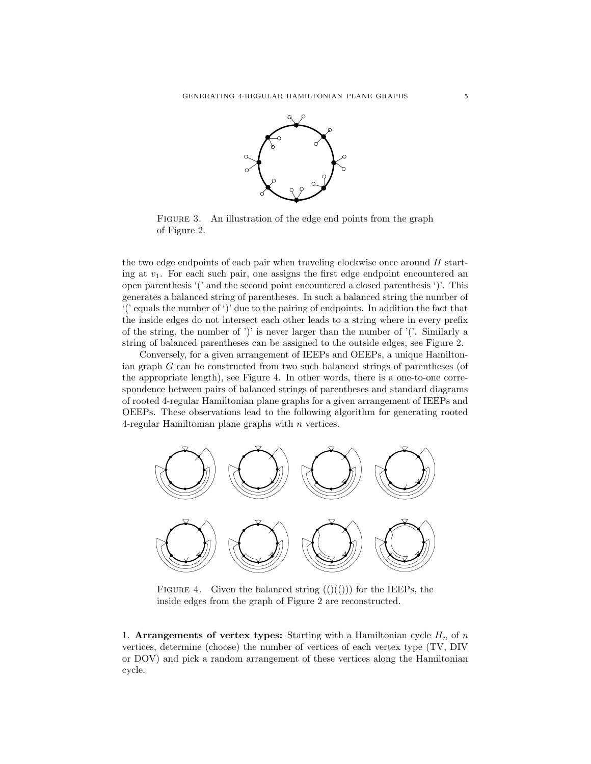

FIGURE 3. An illustration of the edge end points from the graph of Figure 2.

the two edge endpoints of each pair when traveling clockwise once around  $H$  starting at  $v_1$ . For each such pair, one assigns the first edge endpoint encountered an open parenthesis '(' and the second point encountered a closed parenthesis ')'. This generates a balanced string of parentheses. In such a balanced string the number of  $'$ (' equals the number of ')' due to the pairing of endpoints. In addition the fact that the inside edges do not intersect each other leads to a string where in every prefix of the string, the number of ')' is never larger than the number of '('. Similarly a string of balanced parentheses can be assigned to the outside edges, see Figure 2.

Conversely, for a given arrangement of IEEPs and OEEPs, a unique Hamiltonian graph G can be constructed from two such balanced strings of parentheses (of the appropriate length), see Figure 4. In other words, there is a one-to-one correspondence between pairs of balanced strings of parentheses and standard diagrams of rooted 4-regular Hamiltonian plane graphs for a given arrangement of IEEPs and OEEPs. These observations lead to the following algorithm for generating rooted 4-regular Hamiltonian plane graphs with n vertices.



FIGURE 4. Given the balanced string  $(()(())$  for the IEEPs, the inside edges from the graph of Figure 2 are reconstructed.

1. Arrangements of vertex types: Starting with a Hamiltonian cycle  $H_n$  of n vertices, determine (choose) the number of vertices of each vertex type (TV, DIV or DOV) and pick a random arrangement of these vertices along the Hamiltonian cycle.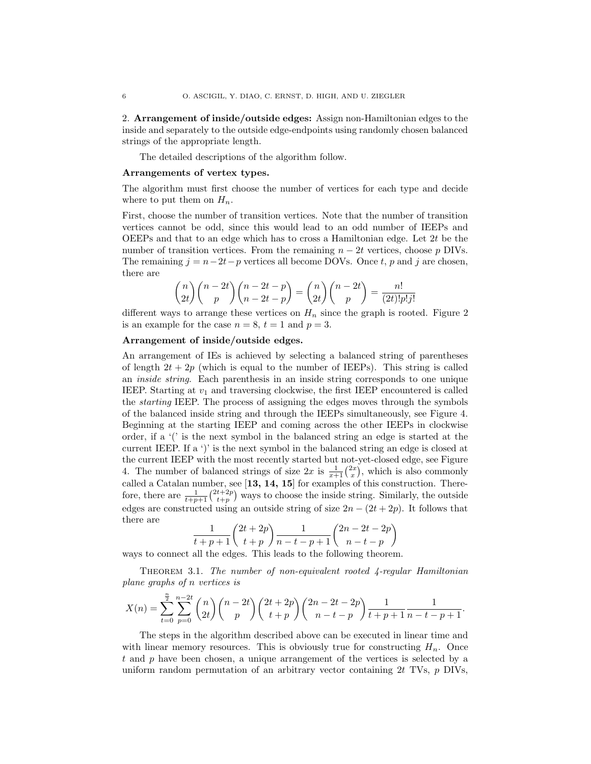2. Arrangement of inside/outside edges: Assign non-Hamiltonian edges to the inside and separately to the outside edge-endpoints using randomly chosen balanced strings of the appropriate length.

The detailed descriptions of the algorithm follow.

#### Arrangements of vertex types.

The algorithm must first choose the number of vertices for each type and decide where to put them on  $H_n$ .

First, choose the number of transition vertices. Note that the number of transition vertices cannot be odd, since this would lead to an odd number of IEEPs and OEEPs and that to an edge which has to cross a Hamiltonian edge. Let  $2t$  be the number of transition vertices. From the remaining  $n - 2t$  vertices, choose p DIVs. The remaining  $j = n-2t-p$  vertices all become DOVs. Once t, p and j are chosen, there are

$$
\binom{n}{2t}\binom{n-2t}{p}\binom{n-2t-p}{n-2t-p} = \binom{n}{2t}\binom{n-2t}{p} = \frac{n!}{(2t)!p!j!}
$$

different ways to arrange these vertices on  $H_n$  since the graph is rooted. Figure 2 is an example for the case  $n = 8$ ,  $t = 1$  and  $p = 3$ .

## Arrangement of inside/outside edges.

 $\bar{t}$ 

An arrangement of IEs is achieved by selecting a balanced string of parentheses of length  $2t + 2p$  (which is equal to the number of IEEPs). This string is called an inside string. Each parenthesis in an inside string corresponds to one unique IEEP. Starting at  $v_1$  and traversing clockwise, the first IEEP encountered is called the starting IEEP. The process of assigning the edges moves through the symbols of the balanced inside string and through the IEEPs simultaneously, see Figure 4. Beginning at the starting IEEP and coming across the other IEEPs in clockwise order, if a '(' is the next symbol in the balanced string an edge is started at the current IEEP. If a ')' is the next symbol in the balanced string an edge is closed at the current IEEP with the most recently started but not-yet-closed edge, see Figure 4. The number of balanced strings of size  $2x$  is  $\frac{1}{x+1} \binom{2x}{x}$ , which is also commonly called a Catalan number, see  $\left[13, 14, 15\right]$  for examples of this construction. Therefore, there are  $\frac{1}{t+p+1} \binom{2t+2p}{t+p}$  ways to choose the inside string. Similarly, the outside edges are constructed using an outside string of size  $2n - (2t + 2p)$ . It follows that there are

$$
\frac{1}{p+1} \binom{2t+2p}{t+p} \frac{1}{n-t-p+1} \binom{2n-2t-2p}{n-t-p}
$$

ways to connect all the edges. This leads to the following theorem.

THEOREM 3.1. The number of non-equivalent rooted  $\ddot{A}$ -regular Hamiltonian plane graphs of n vertices is

$$
X(n) = \sum_{t=0}^{\frac{n}{2}} \sum_{p=0}^{n-2t} {n \choose 2t} {n-2t \choose p} {2t+2p \choose t+p} {2n-2t-2p \choose n-t-p} \frac{1}{t+p+1} \frac{1}{n-t-p+1}.
$$

The steps in the algorithm described above can be executed in linear time and with linear memory resources. This is obviously true for constructing  $H_n$ . Once t and p have been chosen, a unique arrangement of the vertices is selected by a uniform random permutation of an arbitrary vector containing  $2t$  TVs,  $p$  DIVs,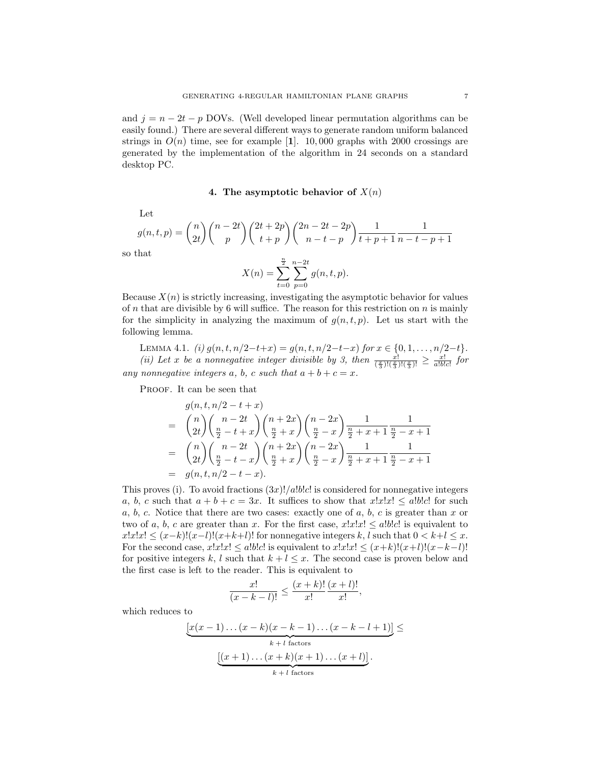and  $j = n - 2t - p$  DOVs. (Well developed linear permutation algorithms can be easily found.) There are several different ways to generate random uniform balanced strings in  $O(n)$  time, see for example [1]. 10,000 graphs with 2000 crossings are generated by the implementation of the algorithm in 24 seconds on a standard desktop PC.

## 4. The asymptotic behavior of  $X(n)$

Let

$$
g(n, t, p) = {n \choose 2t} {n-2t \choose p} {2t + 2p \choose t+p} {2n-2t-2p \choose n-t-p} \frac{1}{t+p+1} \frac{1}{n-t-p+1}
$$

so that

$$
X(n) = \sum_{t=0}^{\frac{n}{2}} \sum_{p=0}^{n-2t} g(n, t, p).
$$

Because  $X(n)$  is strictly increasing, investigating the asymptotic behavior for values of n that are divisible by 6 will suffice. The reason for this restriction on  $n$  is mainly for the simplicity in analyzing the maximum of  $q(n,t,p)$ . Let us start with the following lemma.

LEMMA 4.1. (i)  $g(n, t, n/2-t+x) = g(n, t, n/2-t-x)$  for  $x \in \{0, 1, ..., n/2-t\}.$ (ii) Let x be a nonnegative integer divisible by 3, then  $\frac{x!}{(\frac{x}{3})!(\frac{x}{3})!} \geq \frac{x!}{a!b!c!}$  for any nonnegative integers a, b, c such that  $a + b + c = x$ .

PROOF. It can be seen that

$$
g(n, t, n/2 - t + x)
$$
  
=  $\binom{n}{2t} \binom{n-2t}{\frac{n}{2} - t + x} \binom{n+2x}{\frac{n}{2} + x} \binom{n-2x}{\frac{n}{2} - x} \frac{1}{\frac{n}{2} + x + 1} \frac{1}{\frac{n}{2} - x + 1}$   
=  $\binom{n}{2t} \binom{n-2t}{\frac{n}{2} - t - x} \binom{n+2x}{\frac{n}{2} + x} \binom{n-2x}{\frac{n}{2} - x} \frac{1}{\frac{n}{2} + x + 1} \frac{1}{\frac{n}{2} - x + 1}$   
=  $g(n, t, n/2 - t - x)$ .

This proves (i). To avoid fractions  $(3x)!/a!b!c!$  is considered for nonnegative integers a, b, c such that  $a + b + c = 3x$ . It suffices to show that  $x!x! \leq a!b!c!$  for such  $a, b, c$ . Notice that there are two cases: exactly one of  $a, b, c$  is greater than x or two of a, b, c are greater than x. For the first case,  $x!x!x! \leq a!b!c!$  is equivalent to  $x!x!x! \leq (x-k)!(x-l)!(x+k+l)!$  for nonnegative integers k, l such that  $0 < k+l \leq x$ . For the second case,  $x!x!x! \leq a!b!c!$  is equivalent to  $x!x!x! \leq (x+k)!(x+l)!(x-k-l)!$ for positive integers k, l such that  $k + l \leq x$ . The second case is proven below and the first case is left to the reader. This is equivalent to

$$
\frac{x!}{(x-k-l)!} \le \frac{(x+k)!}{x!} \frac{(x+l)!}{x!},
$$

which reduces to

$$
\underbrace{[x(x-1)\dots(x-k)(x-k-1)\dots(x-k-l+1)]}_{k+l \text{ factors}} \leq
$$
\n
$$
\underbrace{[(x+1)\dots(x+k)(x+1)\dots(x+l)]}_{k+l \text{ factors}}.
$$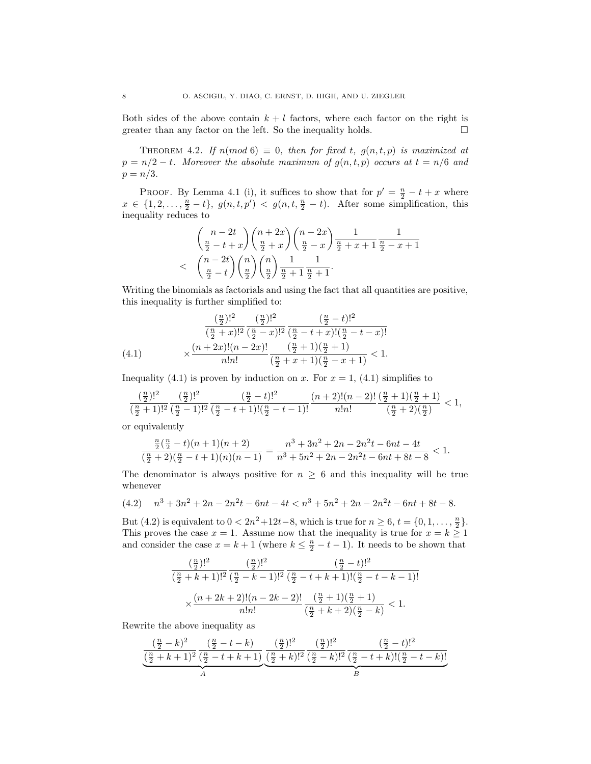Both sides of the above contain  $k + l$  factors, where each factor on the right is greater than any factor on the left. So the inequality holds.  $\Box$ 

THEOREM 4.2. If  $n(mod 6) \equiv 0$ , then for fixed t,  $q(n,t,p)$  is maximized at  $p = n/2 - t$ . Moreover the absolute maximum of  $q(n,t,p)$  occurs at  $t = n/6$  and  $p = n/3$ .

PROOF. By Lemma 4.1 (i), it suffices to show that for  $p' = \frac{n}{2} - t + x$  where  $x \in \{1, 2, \ldots, \frac{n}{2} - t\}, g(n, t, p') < g(n, t, \frac{n}{2} - t)$ . After some simplification, this inequality reduces to

$$
\binom{n-2t}{\frac{n}{2}-t+x} \binom{n+2x}{\frac{n}{2}+x} \binom{n-2x}{\frac{n}{2}-x} \frac{1}{\frac{n}{2}+x+1} \frac{1}{\frac{n}{2}-x+1}
$$
  
< 
$$
\binom{n-2t}{\frac{n}{2}-t} \binom{n}{\frac{n}{2}} \binom{n}{\frac{n}{2}} \frac{1}{\frac{n}{2}+1} \frac{1}{\frac{n}{2}+1}.
$$

Writing the binomials as factorials and using the fact that all quantities are positive, this inequality is further simplified to:

(4.1) 
$$
\frac{\left(\frac{n}{2}\right)!^2}{\left(\frac{n}{2}+x\right)!^2} \frac{\left(\frac{n}{2}\right)!^2}{\left(\frac{n}{2}-x\right)!^2} \frac{\left(\frac{n}{2}-t\right)!^2}{\left(\frac{n}{2}-t+x\right)!\left(\frac{n}{2}-t-x\right)!}
$$
\n
$$
\times \frac{(n+2x)!(n-2x)!}{n!n!} \frac{\left(\frac{n}{2}+1\right)\left(\frac{n}{2}+1\right)}{\left(\frac{n}{2}+x+1\right)\left(\frac{n}{2}-x+1\right)} < 1.
$$

Inequality (4.1) is proven by induction on x. For  $x = 1$ , (4.1) simplifies to

$$
\frac{(\frac{n}{2})!^2}{(\frac{n}{2}+1)!^2}\frac{(\frac{n}{2})!^2}{(\frac{n}{2}-1)!^2}\frac{(\frac{n}{2}-t)!^2}{(\frac{n}{2}-t+1)!(\frac{n}{2}-t-1)!}\frac{(n+2)!(n-2)!}{n!n!}\frac{(\frac{n}{2}+1)(\frac{n}{2}+1)}{(\frac{n}{2}+2)(\frac{n}{2})}<1,
$$

or equivalently

$$
\frac{\frac{n}{2}(\frac{n}{2}-t)(n+1)(n+2)}{(\frac{n}{2}+2)(\frac{n}{2}-t+1)(n)(n-1)}=\frac{n^3+3n^2+2n-2n^2t-6nt-4t}{n^3+5n^2+2n-2n^2t-6nt+8t-8}<1.
$$

The denominator is always positive for  $n \geq 6$  and this inequality will be true whenever

$$
(4.2) \quad n^3 + 3n^2 + 2n - 2n^2t - 6nt - 4t < n^3 + 5n^2 + 2n - 2n^2t - 6nt + 8t - 8.
$$

But (4.2) is equivalent to  $0 < 2n^2 + 12t - 8$ , which is true for  $n \ge 6$ ,  $t = \{0, 1, ..., \frac{n}{2}\}.$ This proves the case  $x = 1$ . Assume now that the inequality is true for  $x = k \ge 1$ and consider the case  $x = k + 1$  (where  $k \leq \frac{n}{2} - t - 1$ ). It needs to be shown that

$$
\frac{(\frac{n}{2})!^2}{(\frac{n}{2}+k+1)!^2} \frac{(\frac{n}{2})!^2}{(\frac{n}{2}-k-1)!^2} \frac{(\frac{n}{2}-t)!^2}{(\frac{n}{2}-t+k+1)!(\frac{n}{2}-t-k-1)!}
$$

$$
\times \frac{(n+2k+2)!(n-2k-2)!}{n!n!} \frac{(\frac{n}{2}+1)(\frac{n}{2}+1)}{(\frac{n}{2}+k+2)(\frac{n}{2}-k)} < 1.
$$

Rewrite the above inequality as

$$
\underbrace{\frac{(\frac{n}{2}-k)^2}{(\frac{n}{2}+k+1)^2} \frac{(\frac{n}{2}-t-k)}{(\frac{n}{2}-t+k+1)}_{A} \underbrace{(\frac{n}{2})!^2}_{(\frac{n}{2}+k)!^2} \frac{(\frac{n}{2})!^2}{(\frac{n}{2}-k)!^2} \frac{(\frac{n}{2}-t)!^2}{(\frac{n}{2}-t+k)!(\frac{n}{2}-t-k)!}}_{B}
$$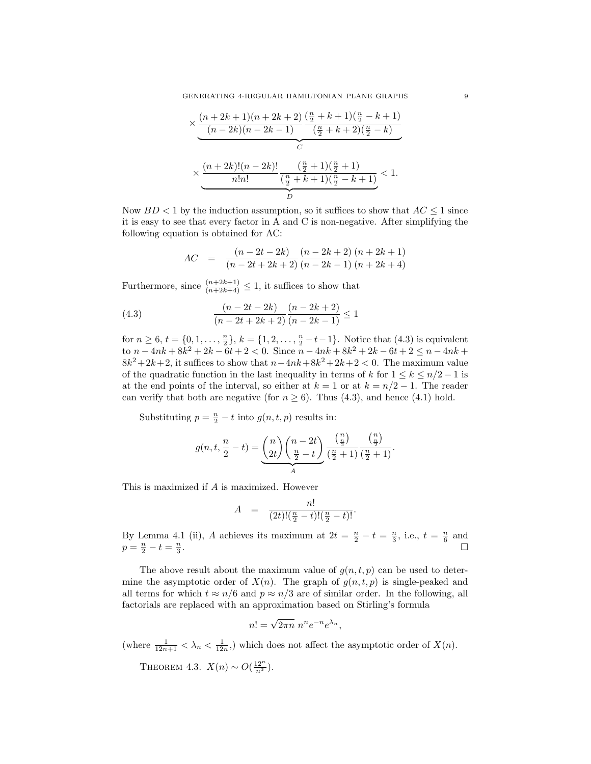$$
\times \underbrace{\frac{(n+2k+1)(n+2k+2)}{(n-2k)(n-2k-1)} \frac{(\frac{n}{2}+k+1)(\frac{n}{2}-k+1)}{(\frac{n}{2}+k+2)(\frac{n}{2}-k)}}_{n!n!} \times \underbrace{\frac{(n+2k)!(n-2k)!}{n!n!} \frac{(\frac{n}{2}+1)(\frac{n}{2}+1)}{(\frac{n}{2}+k+1)(\frac{n}{2}-k+1)}}_{D} < 1.
$$

Now  $BD < 1$  by the induction assumption, so it suffices to show that  $AC \leq 1$  since it is easy to see that every factor in A and C is non-negative. After simplifying the following equation is obtained for AC:

$$
AC = \frac{(n-2t-2k)}{(n-2t+2k+2)} \frac{(n-2k+2)}{(n-2k-1)} \frac{(n+2k+1)}{(n+2k+4)}
$$

Furthermore, since  $\frac{(n+2k+1)}{(n+2k+4)} \leq 1$ , it suffices to show that

(4.3) 
$$
\frac{(n-2t-2k)}{(n-2t+2k+2)} \frac{(n-2k+2)}{(n-2k-1)} \le 1
$$

for  $n \ge 6$ ,  $t = \{0, 1, \ldots, \frac{n}{2}\}, k = \{1, 2, \ldots, \frac{n}{2} - t - 1\}.$  Notice that  $(4.3)$  is equivalent to  $n - 4nk + 8k^2 + 2k - 6t + 2 < 0$ . Since  $n - 4nk + 8k^2 + 2k - 6t + 2 \le n - 4nk +$  $8k^2 + 2k + 2$ , it suffices to show that  $n - 4nk + 8k^2 + 2k + 2 < 0$ . The maximum value of the quadratic function in the last inequality in terms of k for  $1 \leq k \leq n/2 - 1$  is at the end points of the interval, so either at  $k = 1$  or at  $k = n/2 - 1$ . The reader can verify that both are negative (for  $n \ge 6$ ). Thus (4.3), and hence (4.1) hold.

Substituting  $p = \frac{n}{2} - t$  into  $g(n, t, p)$  results in:

$$
g(n,t,\frac{n}{2}-t)=\underbrace{\binom{n}{2t}\binom{n-2t}{\frac{n}{2}-t}}_{A}\underbrace{\binom{n}{\frac{n}{2}}}_{\text{(}\frac{n}{2}+1)}\underbrace{\binom{n}{\frac{n}{2}}}_{\text{(}\frac{n}{2}+1)}.
$$

This is maximized if A is maximized. However

$$
A = \frac{n!}{(2t)!(\frac{n}{2} - t)!(\frac{n}{2} - t)!}.
$$

By Lemma 4.1 (ii), A achieves its maximum at  $2t = \frac{n}{2} - t = \frac{n}{3}$ , i.e.,  $t = \frac{n}{6}$  and  $p = \frac{n}{2} - t = \frac{n}{3}$ . ¤

The above result about the maximum value of  $g(n,t,p)$  can be used to determine the asymptotic order of  $X(n)$ . The graph of  $g(n, t, p)$  is single-peaked and all terms for which  $t \approx n/6$  and  $p \approx n/3$  are of similar order. In the following, all factorials are replaced with an approximation based on Stirling's formula

$$
n! = \sqrt{2\pi n} \; n^n e^{-n} e^{\lambda_n},
$$

(where  $\frac{1}{12n+1} < \lambda_n < \frac{1}{12n}$ ) which does not affect the asymptotic order of  $X(n)$ .

THEOREM 4.3.  $X(n) \sim O(\frac{12^n}{n^3})$ .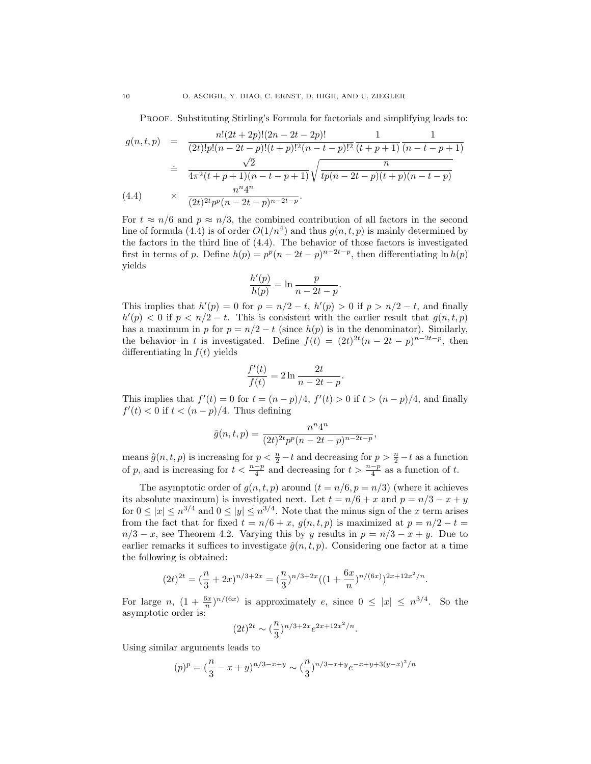PROOF. Substituting Stirling's Formula for factorials and simplifying leads to:

$$
g(n, t, p) = \frac{n!(2t+2p)!(2n-2t-2p)!}{(2t)!p!(n-2t-p)!(t+p)!^2(n-t-p)!^2}\frac{1}{(t+p+1)}\frac{1}{(n-t-p+1)}
$$
  
\n
$$
\frac{\sqrt{2}}{4\pi^2(t+p+1)(n-t-p+1)}\sqrt{\frac{n}{tp(n-2t-p)(t+p)(n-t-p)}}
$$
  
\n(4.4) 
$$
\times \frac{n^n 4^n}{(2t)^{2t}p^p(n-2t-p)^{n-2t-p}}.
$$

For  $t \approx n/6$  and  $p \approx n/3$ , the combined contribution of all factors in the second line of formula (4.4) is of order  $O(1/n^4)$  and thus  $g(n, t, p)$  is mainly determined by the factors in the third line of (4.4). The behavior of those factors is investigated first in terms of p. Define  $h(p) = p^p(n-2t-p)^{n-2t-p}$ , then differentiating  $\ln h(p)$ yields

$$
\frac{h'(p)}{h(p)} = \ln \frac{p}{n - 2t - p}.
$$

This implies that  $h'(p) = 0$  for  $p = n/2 - t$ ,  $h'(p) > 0$  if  $p > n/2 - t$ , and finally  $h'(p) < 0$  if  $p < n/2 - t$ . This is consistent with the earlier result that  $g(n, t, p)$ has a maximum in p for  $p = n/2 - t$  (since  $h(p)$  is in the denominator). Similarly, the behavior in t is investigated. Define  $f(t) = (2t)^{2t}(n-2t-p)^{n-2t-p}$ , then differentiating  $\ln f(t)$  yields

$$
\frac{f'(t)}{f(t)} = 2\ln\frac{2t}{n-2t-p}.
$$

This implies that  $f'(t) = 0$  for  $t = (n - p)/4$ ,  $f'(t) > 0$  if  $t > (n - p)/4$ , and finally  $f'(t) < 0$  if  $t < (n - p)/4$ . Thus defining

$$
\hat{g}(n,t,p) = \frac{n^n 4^n}{(2t)^{2t} p^p (n - 2t - p)^{n - 2t - p}},
$$

means  $\hat{g}(n, t, p)$  is increasing for  $p < \frac{n}{2} - t$  and decreasing for  $p > \frac{n}{2} - t$  as a function of p, and is increasing for  $t < \frac{n-p}{4}$  and decreasing for  $t > \frac{n-p}{4}$  as a function of t.

The asymptotic order of  $g(n, t, p)$  around  $(t = n/6, p = n/3)$  (where it achieves its absolute maximum) is investigated next. Let  $t = n/6 + x$  and  $p = n/3 - x + y$ for  $0 \le |x| \le n^{3/4}$  and  $0 \le |y| \le n^{3/4}$ . Note that the minus sign of the x term arises from the fact that for fixed  $t = n/6 + x$ ,  $g(n, t, p)$  is maximized at  $p = n/2 - t =$  $n/3 - x$ , see Theorem 4.2. Varying this by y results in  $p = n/3 - x + y$ . Due to earlier remarks it suffices to investigate  $\hat{g}(n,t,p)$ . Considering one factor at a time the following is obtained:

$$
(2t)^{2t} = \left(\frac{n}{3} + 2x\right)^{n/3 + 2x} = \left(\frac{n}{3}\right)^{n/3 + 2x} \left(\left(1 + \frac{6x}{n}\right)^{n/(6x)}\right)^{2x + 12x^2/n}.
$$

For large n,  $(1 + \frac{6x}{n})^{n/(6x)}$  is approximately e, since  $0 \leq |x| \leq n^{3/4}$ . So the asymptotic order is:

$$
(2t)^{2t} \sim (\frac{n}{3})^{n/3 + 2x} e^{2x + 12x^2/n}.
$$

Using similar arguments leads to

$$
(p)^p = \left(\frac{n}{3} - x + y\right)^{n/3 - x + y} \sim \left(\frac{n}{3}\right)^{n/3 - x + y} e^{-x + y + 3(y - x)^2/n}
$$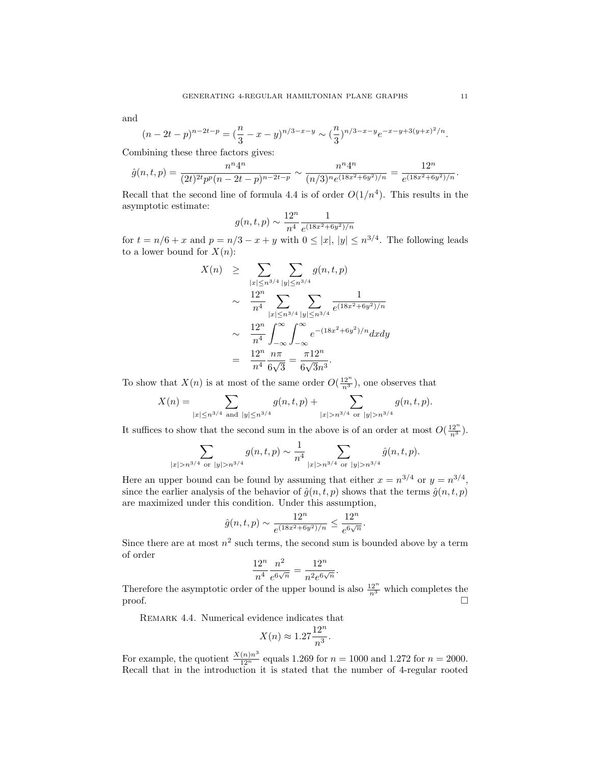and

$$
(n-2t-p)^{n-2t-p} = \left(\frac{n}{3} - x - y\right)^{n/3-x-y} \sim \left(\frac{n}{3}\right)^{n/3-x-y} e^{-x-y+3(y+x)^2/n}.
$$

Combining these three factors gives:

$$
\hat{g}(n,t,p) = \frac{n^n 4^n}{(2t)^{2t} p^p (n-2t-p)^{n-2t-p}} \sim \frac{n^n 4^n}{(n/3)^n e^{(18x^2+6y^2)/n}} = \frac{12^n}{e^{(18x^2+6y^2)/n}}.
$$

Recall that the second line of formula 4.4 is of order  $O(1/n^4)$ . This results in the asymptotic estimate:

$$
g(n, t, p) \sim \frac{12^n}{n^4} \frac{1}{e^{(18x^2 + 6y^2)/n}}
$$

for  $t = n/6 + x$  and  $p = n/3 - x + y$  with  $0 \le |x|, |y| \le n^{3/4}$ . The following leads to a lower bound for  $X(n)$ :

$$
X(n) \geq \sum_{|x| \leq n^{3/4}} \sum_{|y| \leq n^{3/4}} g(n, t, p)
$$
  
 
$$
\sim \frac{12^n}{n^4} \sum_{|x| \leq n^{3/4}} \sum_{|y| \leq n^{3/4}} \frac{1}{e^{(18x^2 + 6y^2)/n}}
$$
  
 
$$
\sim \frac{12^n}{n^4} \int_{-\infty}^{\infty} \int_{-\infty}^{\infty} e^{-(18x^2 + 6y^2)/n} dx dy
$$
  
 
$$
= \frac{12^n}{n^4} \frac{n\pi}{6\sqrt{3}} = \frac{\pi 12^n}{6\sqrt{3}n^3}.
$$

To show that  $X(n)$  is at most of the same order  $O(\frac{12^n}{n^3})$ , one observes that

$$
X(n) = \sum_{|x| \le n^{3/4} \text{ and } |y| \le n^{3/4}} g(n, t, p) + \sum_{|x| > n^{3/4} \text{ or } |y| > n^{3/4}} g(n, t, p).
$$

It suffices to show that the second sum in the above is of an order at most  $O(\frac{12^n}{n^3})$ .

$$
\sum_{|x|>n^{3/4} \text{ or } |y|>n^{3/4}} g(n,t,p) \sim \frac{1}{n^4} \sum_{|x|>n^{3/4} \text{ or } |y|>n^{3/4}} \hat{g}(n,t,p).
$$

Here an upper bound can be found by assuming that either  $x = n^{3/4}$  or  $y = n^{3/4}$ , since the earlier analysis of the behavior of  $\hat{g}(n,t,p)$  shows that the terms  $\hat{g}(n,t,p)$ are maximized under this condition. Under this assumption,

$$
\hat{g}(n,t,p) \sim \frac{12^n}{e^{(18x^2+6y^2)/n}} \le \frac{12^n}{e^{6\sqrt{n}}}.
$$

Since there are at most  $n^2$  such terms, the second sum is bounded above by a term of order

$$
\frac{12^n}{n^4} \frac{n^2}{e^{6\sqrt{n}}} = \frac{12^n}{n^2 e^{6\sqrt{n}}}
$$

.

Therefore the asymptotic order of the upper bound is also  $\frac{12^n}{n^3}$  which completes the proof.  $\Box$ 

Remark 4.4. Numerical evidence indicates that

$$
X(n) \approx 1.27 \frac{12^n}{n^3}.
$$

For example, the quotient  $\frac{X(n)n^3}{12^n}$  equals 1.269 for  $n = 1000$  and 1.272 for  $n = 2000$ . Recall that in the introduction it is stated that the number of 4-regular rooted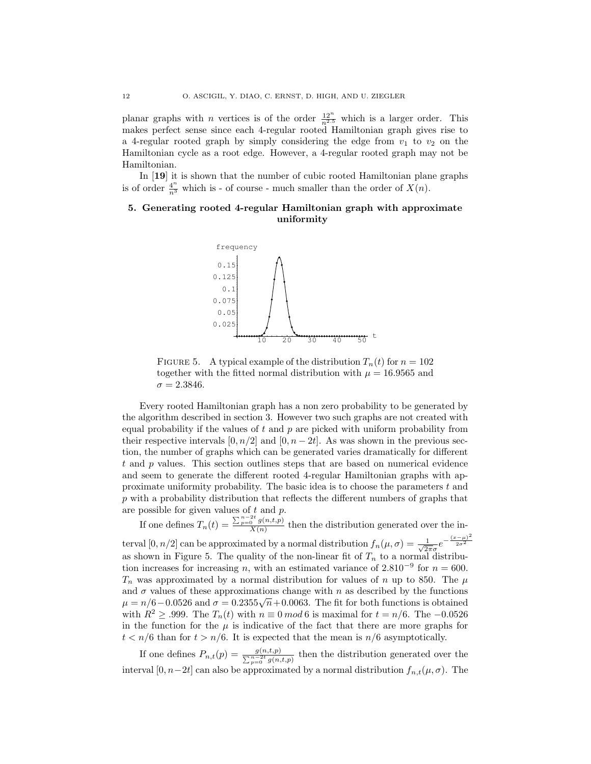planar graphs with *n* vertices is of the order  $\frac{12^n}{n^{2.5}}$  which is a larger order. This makes perfect sense since each 4-regular rooted Hamiltonian graph gives rise to a 4-regular rooted graph by simply considering the edge from  $v_1$  to  $v_2$  on the Hamiltonian cycle as a root edge. However, a 4-regular rooted graph may not be Hamiltonian.

In [19] it is shown that the number of cubic rooted Hamiltonian plane graphs is of order  $\frac{4^n}{n^3}$  which is - of course - much smaller than the order of  $X(n)$ .

# 5. Generating rooted 4-regular Hamiltonian graph with approximate uniformity



FIGURE 5. A typical example of the distribution  $T_n(t)$  for  $n = 102$ together with the fitted normal distribution with  $\mu = 16.9565$  and  $\sigma = 2.3846.$ 

Every rooted Hamiltonian graph has a non zero probability to be generated by the algorithm described in section 3. However two such graphs are not created with equal probability if the values of  $t$  and  $p$  are picked with uniform probability from their respective intervals  $[0, n/2]$  and  $[0, n-2t]$ . As was shown in the previous section, the number of graphs which can be generated varies dramatically for different  $t$  and  $p$  values. This section outlines steps that are based on numerical evidence and seem to generate the different rooted 4-regular Hamiltonian graphs with approximate uniformity probability. The basic idea is to choose the parameters t and p with a probability distribution that reflects the different numbers of graphs that are possible for given values of t and p.

If one defines  $T_n(t) = \frac{\sum_{p=0}^{n-2t} g(n,t,p)}{X(n)}$  then the distribution generated over the interval  $[0, n/2]$  can be approximated by a normal distribution  $f_n(\mu, \sigma) = \frac{1}{\sqrt{2}}$  $rac{1}{2\pi\sigma}e^{-\frac{(x-\mu)^2}{2\sigma^2}}$ as shown in Figure 5. The quality of the non-linear fit of  $T_n$  to a normal distribution increases for increasing n, with an estimated variance of  $2.810^{-9}$  for  $n = 600$ .  $T_n$  was approximated by a normal distribution for values of n up to 850. The  $\mu$ and  $\sigma$  values of these approximations change with n as described by the functions  $\mu = n/6 - 0.0526$  and  $\sigma = 0.2355\sqrt{n} + 0.0063$ . The fit for both functions is obtained with  $R^2 \geq 0.999$ . The  $T_n(t)$  with  $n \equiv 0 \mod 6$  is maximal for  $t = n/6$ . The  $-0.0526$ in the function for the  $\mu$  is indicative of the fact that there are more graphs for  $t < n/6$  than for  $t > n/6$ . It is expected that the mean is  $n/6$  asymptotically.

If one defines  $P_{n,t}(p) = \frac{g(n,t,p)}{\sum_{p=0}^{n-2t} g(n,t,p)}$  then the distribution generated over the interval  $[0, n-2t]$  can also be approximated by a normal distribution  $f_{n,t}(\mu, \sigma)$ . The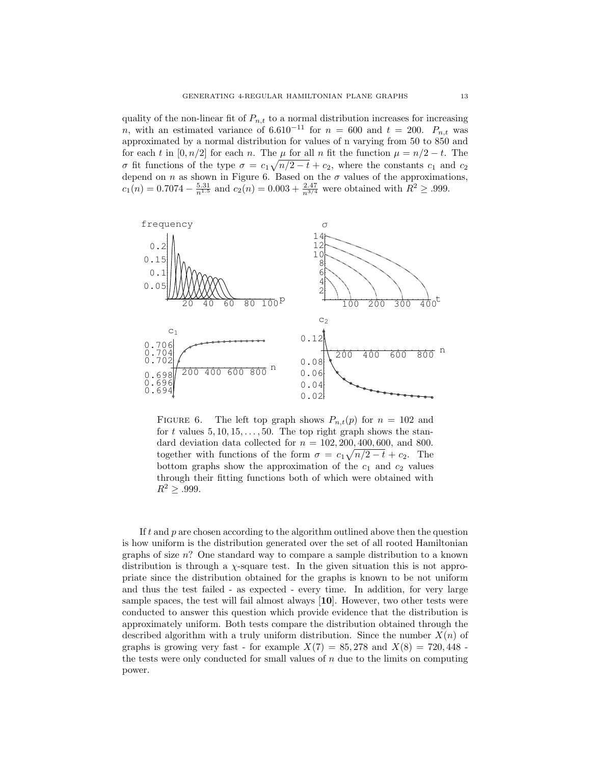quality of the non-linear fit of  $P_{n,t}$  to a normal distribution increases for increasing n, with an estimated variance of 6.610<sup>-11</sup> for  $n = 600$  and  $t = 200$ .  $P_{n,t}$  was approximated by a normal distribution for values of n varying from 50 to 850 and for each t in [0, n/2] for each n. The  $\mu$  for all n fit the function  $\mu = n/2 - t$ . The σ fit functions of the type  $σ = c_1 \sqrt{n/2 - t} + c_2$ , where the constants  $c_1$  and  $c_2$ depend on n as shown in Figure 6. Based on the  $\sigma$  values of the approximations,  $c_1(n) = 0.7074 - \frac{5.31}{n^{1.5}}$  and  $c_2(n) = 0.003 + \frac{2.47}{n^{3/4}}$  were obtained with  $R^2 \ge 0.999$ .



FIGURE 6. The left top graph shows  $P_{n,t}(p)$  for  $n = 102$  and for t values  $5, 10, 15, \ldots, 50$ . The top right graph shows the standard deviation data collected for  $n = 102, 200, 400, 600,$  and 800. together with functions of the form  $\sigma = c_1 \sqrt{n/2 - t} + c_2$ . The bottom graphs show the approximation of the  $c_1$  and  $c_2$  values through their fitting functions both of which were obtained with  $R^2 \geq .999.$ 

If  $t$  and  $p$  are chosen according to the algorithm outlined above then the question is how uniform is the distribution generated over the set of all rooted Hamiltonian graphs of size  $n$ ? One standard way to compare a sample distribution to a known distribution is through a  $\chi$ -square test. In the given situation this is not appropriate since the distribution obtained for the graphs is known to be not uniform and thus the test failed - as expected - every time. In addition, for very large sample spaces, the test will fail almost always [10]. However, two other tests were conducted to answer this question which provide evidence that the distribution is approximately uniform. Both tests compare the distribution obtained through the described algorithm with a truly uniform distribution. Since the number  $X(n)$  of graphs is growing very fast - for example  $X(7) = 85,278$  and  $X(8) = 720,448$  the tests were only conducted for small values of  $n$  due to the limits on computing power.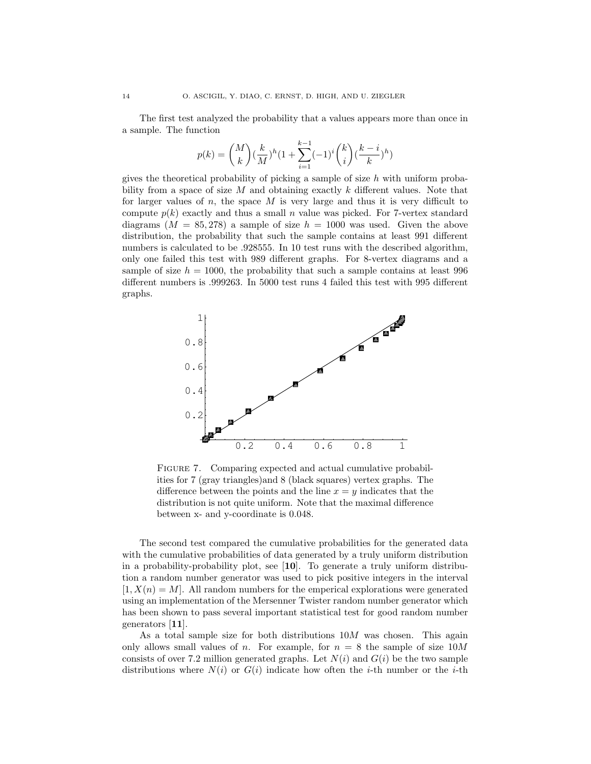The first test analyzed the probability that a values appears more than once in a sample. The function

$$
p(k) = \binom{M}{k} (\frac{k}{M})^h (1 + \sum_{i=1}^{k-1} (-1)^i \binom{k}{i} (\frac{k-i}{k})^h)
$$

gives the theoretical probability of picking a sample of size  $h$  with uniform probability from a space of size  $M$  and obtaining exactly  $k$  different values. Note that for larger values of  $n$ , the space  $M$  is very large and thus it is very difficult to compute  $p(k)$  exactly and thus a small n value was picked. For 7-vertex standard diagrams ( $M = 85,278$ ) a sample of size  $h = 1000$  was used. Given the above distribution, the probability that such the sample contains at least 991 different numbers is calculated to be .928555. In 10 test runs with the described algorithm, only one failed this test with 989 different graphs. For 8-vertex diagrams and a sample of size  $h = 1000$ , the probability that such a sample contains at least 996 different numbers is .999263. In 5000 test runs 4 failed this test with 995 different graphs.



FIGURE 7. Comparing expected and actual cumulative probabilities for 7 (gray triangles)and 8 (black squares) vertex graphs. The difference between the points and the line  $x = y$  indicates that the distribution is not quite uniform. Note that the maximal difference between x- and y-coordinate is 0.048.

The second test compared the cumulative probabilities for the generated data with the cumulative probabilities of data generated by a truly uniform distribution in a probability-probability plot, see [10]. To generate a truly uniform distribution a random number generator was used to pick positive integers in the interval  $[1, X(n) = M]$ . All random numbers for the emperical explorations were generated using an implementation of the Mersenner Twister random number generator which has been shown to pass several important statistical test for good random number generators [11].

As a total sample size for both distributions 10M was chosen. This again only allows small values of n. For example, for  $n = 8$  the sample of size  $10M$ consists of over 7.2 million generated graphs. Let  $N(i)$  and  $G(i)$  be the two sample distributions where  $N(i)$  or  $G(i)$  indicate how often the *i*-th number or the *i*-th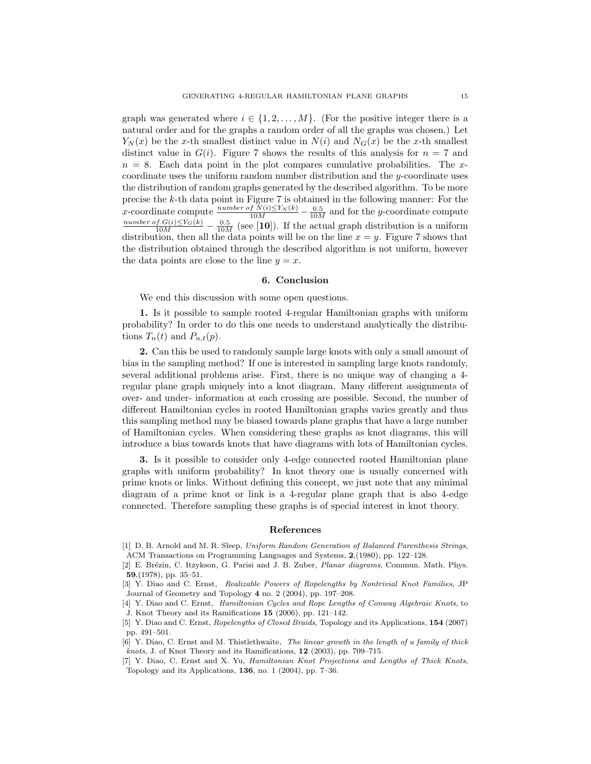graph was generated where  $i \in \{1, 2, ..., M\}$ . (For the positive integer there is a natural order and for the graphs a random order of all the graphs was chosen.) Let  $Y_N(x)$  be the x-th smallest distinct value in  $N(i)$  and  $N_G(x)$  be the x-th smallest distinct value in  $G(i)$ . Figure 7 shows the results of this analysis for  $n = 7$  and  $n = 8$ . Each data point in the plot compares cumulative probabilities. The xcoordinate uses the uniform random number distribution and the y-coordinate uses the distribution of random graphs generated by the described algorithm. To be more precise the k-th data point in Figure 7 is obtained in the following manner: For the x-coordinate compute  $\frac{number\ of\ N(i)\leq Y_N(k)}{10M}-\frac{0.5}{10M}$  and for the y-coordinate compute  $\frac{number\ of\ G(i)\le Y_G(k)}{10M} - \frac{0.5}{10M}$  (see [10]). If the actual graph distribution is a uniform distribution, then all the data points will be on the line  $x = y$ . Figure 7 shows that the distribution obtained through the described algorithm is not uniform, however the data points are close to the line  $y = x$ .

### 6. Conclusion

We end this discussion with some open questions.

1. Is it possible to sample rooted 4-regular Hamiltonian graphs with uniform probability? In order to do this one needs to understand analytically the distributions  $T_n(t)$  and  $P_{n,t}(p)$ .

2. Can this be used to randomly sample large knots with only a small amount of bias in the sampling method? If one is interested in sampling large knots randomly, several additional problems arise. First, there is no unique way of changing a 4 regular plane graph uniquely into a knot diagram. Many different assignments of over- and under- information at each crossing are possible. Second, the number of different Hamiltonian cycles in rooted Hamiltonian graphs varies greatly and thus this sampling method may be biased towards plane graphs that have a large number of Hamiltonian cycles. When considering these graphs as knot diagrams, this will introduce a bias towards knots that have diagrams with lots of Hamiltonian cycles.

3. Is it possible to consider only 4-edge connected rooted Hamiltonian plane graphs with uniform probability? In knot theory one is usually concerned with prime knots or links. Without defining this concept, we just note that any minimal diagram of a prime knot or link is a 4-regular plane graph that is also 4-edge connected. Therefore sampling these graphs is of special interest in knot theory.

## References

- [1] D. B. Arnold and M. R. Sleep, Uniform Random Generation of Balanced Parenthesis Strings, ACM Transactions on Programming Languages and Systems, 2,(1980), pp. 122–128.
- [2] E. Brézin, C. Itzykson, G. Parisi and J. B. Zuber, *Planar diagrams*, Commun. Math. Phys. 59,(1978), pp. 35–51.
- [3] Y. Diao and C. Ernst, Realizable Powers of Ropelengths by Nontrivial Knot Families, JP Journal of Geometry and Topology 4 no. 2 (2004), pp. 197–208.
- [4] Y. Diao and C. Ernst, Hamiltonian Cycles and Rope Lengths of Conway Algebraic Knots, to J. Knot Theory and its Ramifications 15 (2006), pp. 121–142.
- [5] Y. Diao and C. Ernst, Ropelengths of Closed Braids, Topology and its Applications, **154** (2007) pp. 491–501.
- [6] Y. Diao, C. Ernst and M. Thistlethwaite, The linear growth in the length of a family of thick knots, J. of Knot Theory and its Ramifications, 12 (2003), pp. 709–715.
- [7] Y. Diao, C. Ernst and X. Yu, Hamiltonian Knot Projections and Lengths of Thick Knots, Topology and its Applications, 136, no. 1 (2004), pp. 7–36.